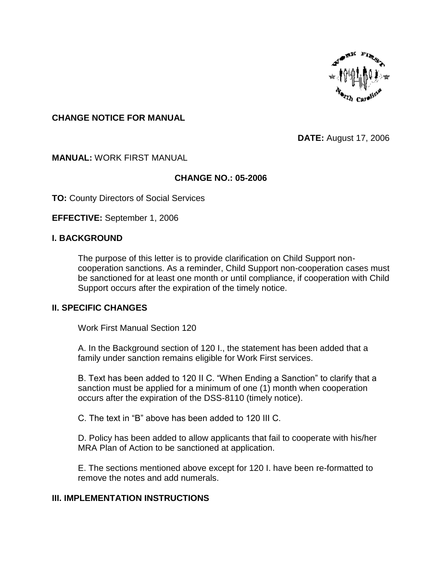

## **CHANGE NOTICE FOR MANUAL**

**DATE:** August 17, 2006

### **MANUAL:** WORK FIRST MANUAL

### **CHANGE NO.: 05-2006**

**TO:** County Directors of Social Services

**EFFECTIVE:** September 1, 2006

### **I. BACKGROUND**

The purpose of this letter is to provide clarification on Child Support noncooperation sanctions. As a reminder, Child Support non-cooperation cases must be sanctioned for at least one month or until compliance, if cooperation with Child Support occurs after the expiration of the timely notice.

#### **II. SPECIFIC CHANGES**

Work First Manual Section 120

A. In the Background section of 120 I., the statement has been added that a family under sanction remains eligible for Work First services.

B. Text has been added to 120 II C. "When Ending a Sanction" to clarify that a sanction must be applied for a minimum of one (1) month when cooperation occurs after the expiration of the DSS-8110 (timely notice).

C. The text in "B" above has been added to 120 III C.

D. Policy has been added to allow applicants that fail to cooperate with his/her MRA Plan of Action to be sanctioned at application.

E. The sections mentioned above except for 120 I. have been re-formatted to remove the notes and add numerals.

#### **III. IMPLEMENTATION INSTRUCTIONS**